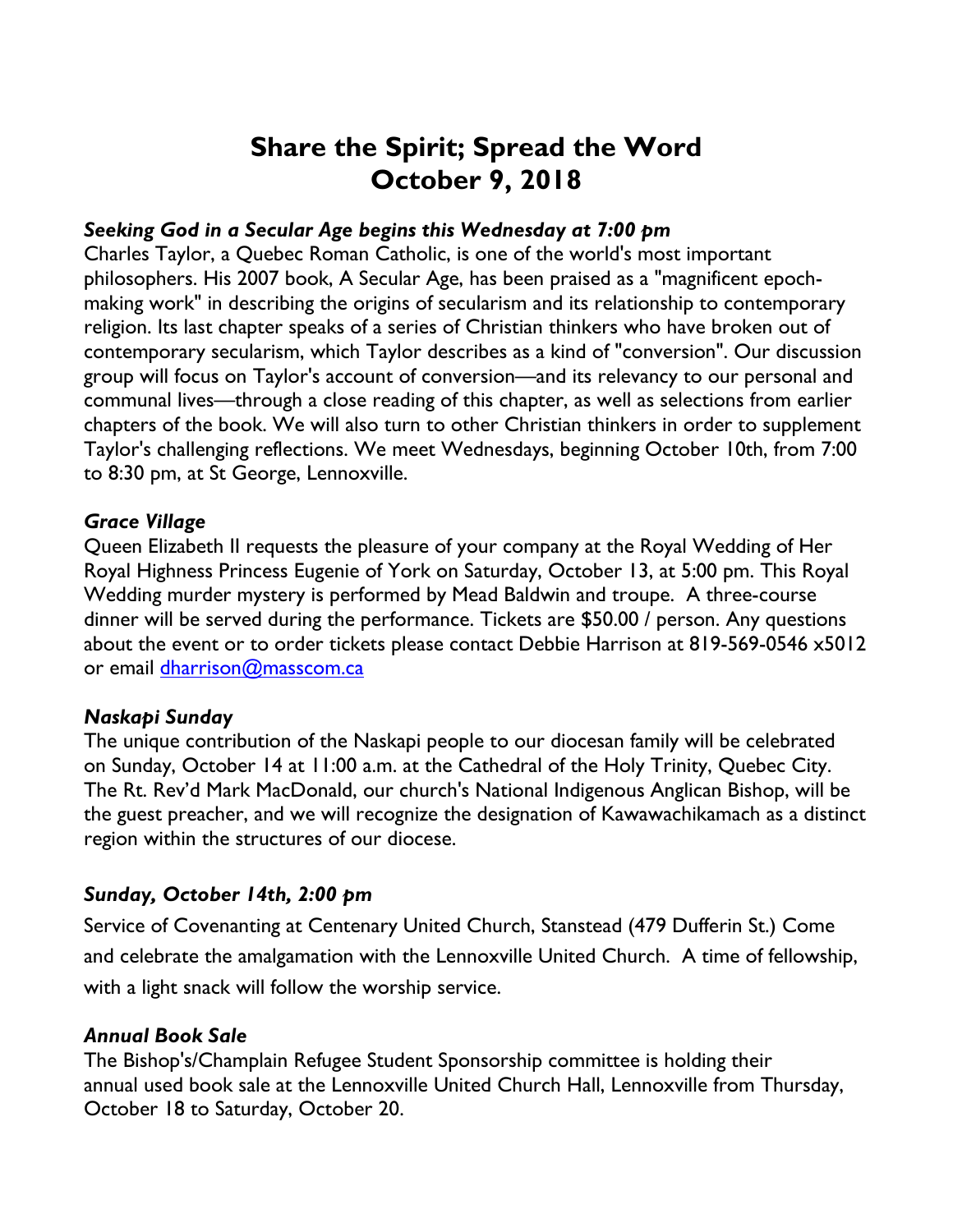# **Share the Spirit; Spread the Word October 9, 2018**

### *Seeking God in a Secular Age begins this Wednesday at 7:00 pm*

Charles Taylor, a Quebec Roman Catholic, is one of the world's most important philosophers. His 2007 book, A Secular Age, has been praised as a "magnificent epochmaking work" in describing the origins of secularism and its relationship to contemporary religion. Its last chapter speaks of a series of Christian thinkers who have broken out of contemporary secularism, which Taylor describes as a kind of "conversion". Our discussion group will focus on Taylor's account of conversion—and its relevancy to our personal and communal lives—through a close reading of this chapter, as well as selections from earlier chapters of the book. We will also turn to other Christian thinkers in order to supplement Taylor's challenging reflections. We meet Wednesdays, beginning October 10th, from 7:00 to 8:30 pm, at St George, Lennoxville.

#### *Grace Village*

Queen Elizabeth II requests the pleasure of your company at the Royal Wedding of Her Royal Highness Princess Eugenie of York on Saturday, October 13, at 5:00 pm. This Royal Wedding murder mystery is performed by Mead Baldwin and troupe. A three-course dinner will be served during the performance. Tickets are \$50.00 / person. Any questions about the event or to order tickets please contact Debbie Harrison at 819-569-0546 x5012 or email dharrison@masscom.ca

#### *Naskapi Sunday*

The unique contribution of the Naskapi people to our diocesan family will be celebrated on Sunday, October 14 at 11:00 a.m. at the Cathedral of the Holy Trinity, Quebec City. The Rt. Rev'd Mark MacDonald, our church's National Indigenous Anglican Bishop, will be the guest preacher, and we will recognize the designation of Kawawachikamach as a distinct region within the structures of our diocese.

# *Sunday, October 14th, 2:00 pm*

Service of Covenanting at Centenary United Church, Stanstead (479 Dufferin St.) Come and celebrate the amalgamation with the Lennoxville United Church. A time of fellowship, with a light snack will follow the worship service.

# *Annual Book Sale*

The Bishop's/Champlain Refugee Student Sponsorship committee is holding their annual used book sale at the Lennoxville United Church Hall, Lennoxville from Thursday, October 18 to Saturday, October 20.